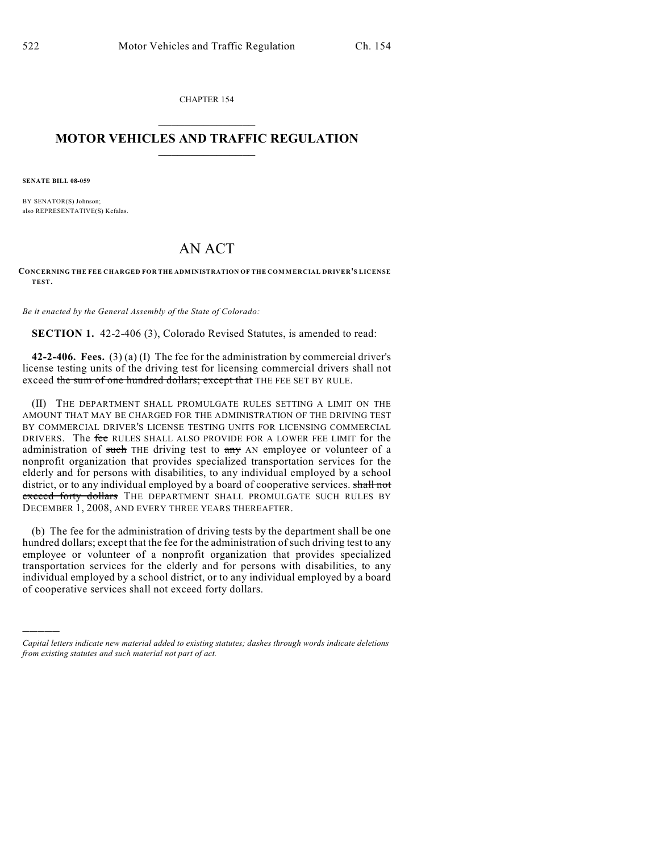CHAPTER 154

## $\mathcal{L}_\text{max}$  . The set of the set of the set of the set of the set of the set of the set of the set of the set of the set of the set of the set of the set of the set of the set of the set of the set of the set of the set **MOTOR VEHICLES AND TRAFFIC REGULATION**  $\frac{1}{2}$  ,  $\frac{1}{2}$  ,  $\frac{1}{2}$  ,  $\frac{1}{2}$  ,  $\frac{1}{2}$  ,  $\frac{1}{2}$  ,  $\frac{1}{2}$  ,  $\frac{1}{2}$

**SENATE BILL 08-059**

)))))

BY SENATOR(S) Johnson; also REPRESENTATIVE(S) Kefalas.

## AN ACT

**CONCERNING THE FEE CHARGED FOR THE ADMINISTRATION OF THE COM MERCIAL DRIVER'S LICENSE TEST.**

*Be it enacted by the General Assembly of the State of Colorado:*

**SECTION 1.** 42-2-406 (3), Colorado Revised Statutes, is amended to read:

**42-2-406. Fees.** (3) (a) (I) The fee for the administration by commercial driver's license testing units of the driving test for licensing commercial drivers shall not exceed the sum of one hundred dollars; except that THE FEE SET BY RULE.

(II) THE DEPARTMENT SHALL PROMULGATE RULES SETTING A LIMIT ON THE AMOUNT THAT MAY BE CHARGED FOR THE ADMINISTRATION OF THE DRIVING TEST BY COMMERCIAL DRIVER'S LICENSE TESTING UNITS FOR LICENSING COMMERCIAL DRIVERS. The fee RULES SHALL ALSO PROVIDE FOR A LOWER FEE LIMIT for the administration of such THE driving test to any AN employee or volunteer of a nonprofit organization that provides specialized transportation services for the elderly and for persons with disabilities, to any individual employed by a school district, or to any individual employed by a board of cooperative services. shall not exceed forty dollars THE DEPARTMENT SHALL PROMULGATE SUCH RULES BY DECEMBER 1, 2008, AND EVERY THREE YEARS THEREAFTER.

(b) The fee for the administration of driving tests by the department shall be one hundred dollars; except that the fee for the administration of such driving test to any employee or volunteer of a nonprofit organization that provides specialized transportation services for the elderly and for persons with disabilities, to any individual employed by a school district, or to any individual employed by a board of cooperative services shall not exceed forty dollars.

*Capital letters indicate new material added to existing statutes; dashes through words indicate deletions from existing statutes and such material not part of act.*